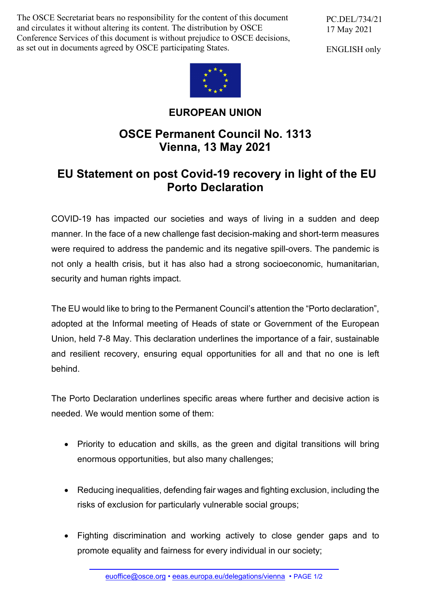The OSCE Secretariat bears no responsibility for the content of this document and circulates it without altering its content. The distribution by OSCE Conference Services of this document is without prejudice to OSCE decisions, as set out in documents agreed by OSCE participating States.

PC.DEL/734/21 17 May 2021

ENGLISH only



## **EUROPEAN UNION**

## **OSCE Permanent Council No. 1313 Vienna, 13 May 2021**

## **EU Statement on post Covid-19 recovery in light of the EU Porto Declaration**

COVID-19 has impacted our societies and ways of living in a sudden and deep manner. In the face of a new challenge fast decision-making and short-term measures were required to address the pandemic and its negative spill-overs. The pandemic is not only a health crisis, but it has also had a strong socioeconomic, humanitarian, security and human rights impact.

The EU would like to bring to the Permanent Council's attention the "Porto declaration", adopted at the Informal meeting of Heads of state or Government of the European Union, held 7-8 May. This declaration underlines the importance of a fair, sustainable and resilient recovery, ensuring equal opportunities for all and that no one is left behind.

The Porto Declaration underlines specific areas where further and decisive action is needed. We would mention some of them:

- Priority to education and skills, as the green and digital transitions will bring enormous opportunities, but also many challenges;
- Reducing inequalities, defending fair wages and fighting exclusion, including the risks of exclusion for particularly vulnerable social groups;
- Fighting discrimination and working actively to close gender gaps and to promote equality and fairness for every individual in our society;